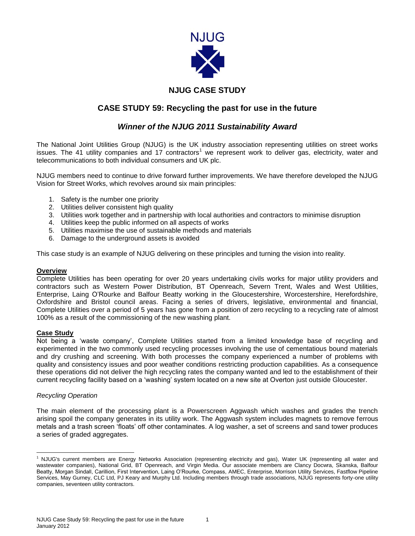

# **NJUG CASE STUDY**

## **CASE STUDY 59: Recycling the past for use in the future**

## *Winner of the NJUG 2011 Sustainability Award*

The National Joint Utilities Group (NJUG) is the UK industry association representing utilities on street works issues. The 41 utility companies and 17 contractors<sup>1</sup> we represent work to deliver gas, electricity, water and telecommunications to both individual consumers and UK plc.

NJUG members need to continue to drive forward further improvements. We have therefore developed the NJUG Vision for Street Works, which revolves around six main principles:

- 1. Safety is the number one priority
- 2. Utilities deliver consistent high quality
- 3. Utilities work together and in partnership with local authorities and contractors to minimise disruption
- 4. Utilities keep the public informed on all aspects of works
- 5. Utilities maximise the use of sustainable methods and materials
- 6. Damage to the underground assets is avoided

This case study is an example of NJUG delivering on these principles and turning the vision into reality.

#### **Overview**

Complete Utilities has been operating for over 20 years undertaking civils works for major utility providers and contractors such as Western Power Distribution, BT Openreach, Severn Trent, Wales and West Utilities, Enterprise, Laing O'Rourke and Balfour Beatty working in the Gloucestershire, Worcestershire, Herefordshire, Oxfordshire and Bristol council areas. Facing a series of drivers, legislative, environmental and financial, Complete Utilities over a period of 5 years has gone from a position of zero recycling to a recycling rate of almost 100% as a result of the commissioning of the new washing plant.

#### **Case Study**

Not being a 'waste company', Complete Utilities started from a limited knowledge base of recycling and experimented in the two commonly used recycling processes involving the use of cementatious bound materials and dry crushing and screening. With both processes the company experienced a number of problems with quality and consistency issues and poor weather conditions restricting production capabilities. As a consequence these operations did not deliver the high recycling rates the company wanted and led to the establishment of their current recycling facility based on a 'washing' system located on a new site at Overton just outside Gloucester.

#### *Recycling Operation*

 $\overline{\phantom{a}}$ 

The main element of the processing plant is a Powerscreen Aggwash which washes and grades the trench arising spoil the company generates in its utility work. The Aggwash system includes magnets to remove ferrous metals and a trash screen 'floats' off other contaminates. A log washer, a set of screens and sand tower produces a series of graded aggregates.

1

<sup>1</sup> NJUG's current members are Energy Networks Association (representing electricity and gas), Water UK (representing all water and wastewater companies), National Grid, BT Openreach, and Virgin Media. Our associate members are Clancy Docwra, Skanska, Balfour Beatty, Morgan Sindall, Carillion, First Intervention, Laing O'Rourke, Compass, AMEC, Enterprise, Morrison Utility Services, Fastflow Pipeline Services, May Gurney, CLC Ltd, PJ Keary and Murphy Ltd. Including members through trade associations, NJUG represents forty-one utility companies, seventeen utility contractors.